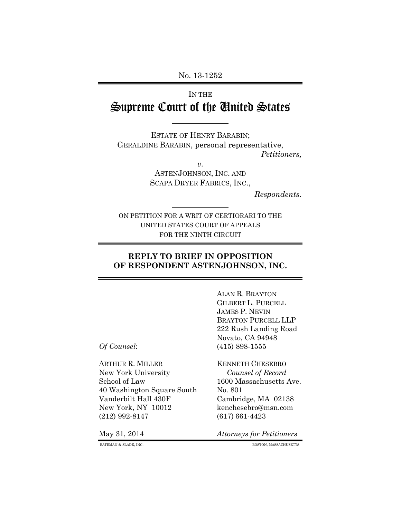No. 13-1252

# IN THE Supreme Court of the United States

ESTATE OF HENRY BARABIN; GERALDINE BARABIN, personal representative, *Petitioners,*

> *v.* ASTENJOHNSON, INC. AND SCAPA DRYER FABRICS, INC.,

> > *Respondents.*

ON PETITION FOR A WRIT OF CERTIORARI TO THE UNITED STATES COURT OF APPEALS FOR THE NINTH CIRCUIT

## **REPLY TO BRIEF IN OPPOSITION OF RESPONDENT ASTENJOHNSON, INC.**

ALAN R. BRAYTON GILBERT L. PURCELL JAMES P. NEVIN BRAYTON PURCELL LLP 222 Rush Landing Road Novato, CA 94948 *Of Counsel*: (415) 898-1555

ARTHUR R. MILLER KENNETH CHESEBRO New York University *Counsel of Record* School of Law 1600 Massachusetts Ave. 40 Washington Square South No. 801 Vanderbilt Hall 430F Cambridge, MA 02138 New York, NY 10012 kenchesebro@msn.com (212) 992-8147 (617) 661-4423

May 31, 2014 *Attorneys for Petitioners*

BATEMAN & SLADE, INC. BOSTON, MASSACHUSETTS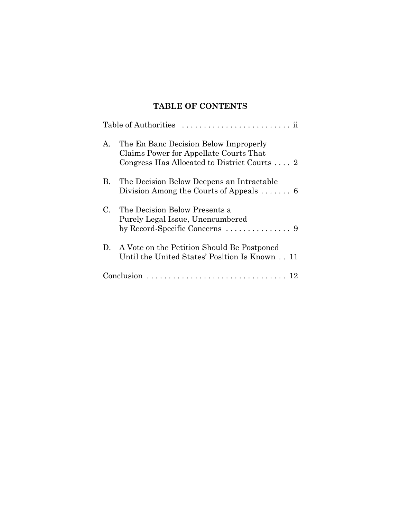## **TABLE OF CONTENTS**

|             | Table of Authorities                                                                                                            |  |  |  |  |  |
|-------------|---------------------------------------------------------------------------------------------------------------------------------|--|--|--|--|--|
| $A_{\cdot}$ | The En Banc Decision Below Improperly<br>Claims Power for Appellate Courts That<br>Congress Has Allocated to District Courts  2 |  |  |  |  |  |
| В.          | The Decision Below Deepens an Intractable<br>Division Among the Courts of Appeals $\dots \dots 6$                               |  |  |  |  |  |
| $C_{-}$     | The Decision Below Presents a<br>Purely Legal Issue, Unencumbered                                                               |  |  |  |  |  |
|             | D. A Vote on the Petition Should Be Postponed<br>Until the United States' Position Is Known 11                                  |  |  |  |  |  |
|             |                                                                                                                                 |  |  |  |  |  |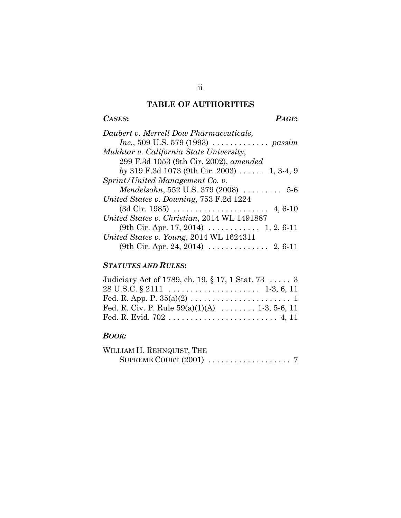## **TABLE OF AUTHORITIES**

## *CASES***:** *PAGE***:**

| Daubert v. Merrell Dow Pharmaceuticals,                            |
|--------------------------------------------------------------------|
|                                                                    |
| Mukhtar v. California State University,                            |
| 299 F.3d 1053 (9th Cir. 2002), amended                             |
| by 319 F.3d 1073 (9th Cir. 2003) 1, 3-4, 9                         |
| Sprint/United Management Co. v.                                    |
| <i>Mendelsohn</i> , 552 U.S. 379 (2008) $\ldots \ldots \ldots 5-6$ |
| United States v. Downing, 753 F.2d 1224                            |
|                                                                    |
| United States v. Christian, 2014 WL 1491887                        |
| (9th Cir. Apr. 17, 2014) $\ldots \ldots \ldots 1, 2, 6-11$         |
| United States v. Young, 2014 WL 1624311                            |
| (9th Cir. Apr. 24, 2014) $\ldots \ldots \ldots \ldots$ 2, 6-11     |

## *STATUTES AND RULES***:**

| Judiciary Act of 1789, ch. 19, § 17, 1 Stat. 73  3 |
|----------------------------------------------------|
|                                                    |
|                                                    |
| Fed. R. Civ. P. Rule $59(a)(1)(A)$ 1-3, 5-6, 11    |
|                                                    |

## *BOOK:*

| WILLIAM H. REHNQUIST, THE |  |  |  |  |  |  |  |  |  |
|---------------------------|--|--|--|--|--|--|--|--|--|
|                           |  |  |  |  |  |  |  |  |  |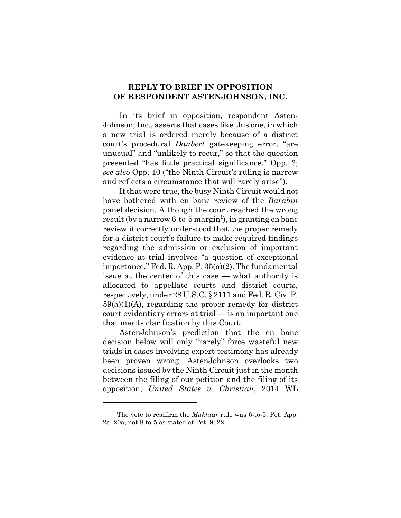### **REPLY TO BRIEF IN OPPOSITION OF RESPONDENT ASTENJOHNSON, INC.**

In its brief in opposition, respondent Asten-Johnson, Inc., asserts that cases like this one, in which a new trial is ordered merely because of a district court's procedural *Daubert* gatekeeping error, "are unusual" and "unlikely to recur," so that the question presented "has little practical significance." Opp. 3; *see also* Opp. 10 ("the Ninth Circuit's ruling is narrow and reflects a circumstance that will rarely arise").

If that were true, the busy Ninth Circuit would not have bothered with en banc review of the *Barabin* panel decision. Although the court reached the wrong result (by a narrow 6-to-5 margin**<sup>1</sup>** ), in granting en banc review it correctly understood that the proper remedy for a district court's failure to make required findings regarding the admission or exclusion of important evidence at trial involves "a question of exceptional importance," Fed. R. App. P. 35(a)(2). The fundamental issue at the center of this case — what authority is allocated to appellate courts and district courts, respectively, under 28 U.S.C. § 2111 and Fed. R. Civ. P. 59(a)(1)(A), regarding the proper remedy for district court evidentiary errors at trial — is an important one that merits clarification by this Court.

AstenJohnson's prediction that the en banc decision below will only "rarely" force wasteful new trials in cases involving expert testimony has already been proven wrong. AstenJohnson overlooks two decisions issued by the Ninth Circuit just in the month between the filing of our petition and the filing of its opposition, *United States v. Christian*, 2014 WL

<sup>&</sup>lt;sup>1</sup> The vote to reaffirm the *Mukhtar* rule was 6-to-5, Pet. App. 2a, 20a, not 8-to-5 as stated at Pet. 9, 22.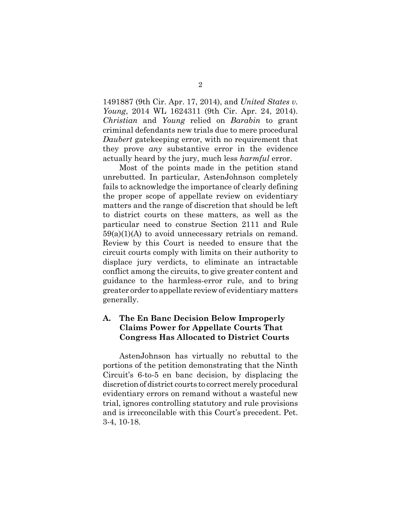1491887 (9th Cir. Apr. 17, 2014), and *United States v. Young*, 2014 WL 1624311 (9th Cir. Apr. 24, 2014). *Christian* and *Young* relied on *Barabin* to grant criminal defendants new trials due to mere procedural *Daubert* gatekeeping error, with no requirement that they prove *any* substantive error in the evidence actually heard by the jury, much less *harmful* error.

Most of the points made in the petition stand unrebutted. In particular, AstenJohnson completely fails to acknowledge the importance of clearly defining the proper scope of appellate review on evidentiary matters and the range of discretion that should be left to district courts on these matters, as well as the particular need to construe Section 2111 and Rule  $59(a)(1)(A)$  to avoid unnecessary retrials on remand. Review by this Court is needed to ensure that the circuit courts comply with limits on their authority to displace jury verdicts, to eliminate an intractable conflict among the circuits, to give greater content and guidance to the harmless-error rule, and to bring greater order to appellate review of evidentiary matters generally.

## **A. The En Banc Decision Below Improperly Claims Power for Appellate Courts That Congress Has Allocated to District Courts**

AstenJohnson has virtually no rebuttal to the portions of the petition demonstrating that the Ninth Circuit's 6-to-5 en banc decision, by displacing the discretion of district courts to correct merely procedural evidentiary errors on remand without a wasteful new trial, ignores controlling statutory and rule provisions and is irreconcilable with this Court's precedent. Pet. 3-4, 10-18.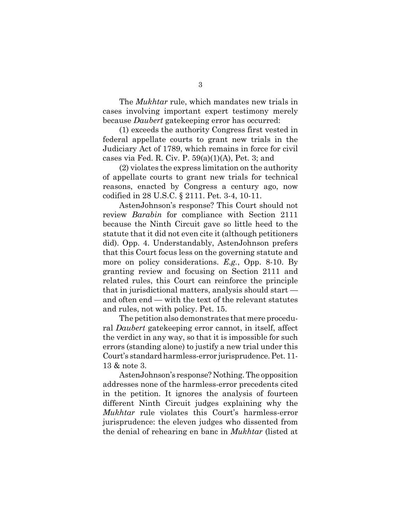The *Mukhtar* rule, which mandates new trials in cases involving important expert testimony merely because *Daubert* gatekeeping error has occurred:

(1) exceeds the authority Congress first vested in federal appellate courts to grant new trials in the Judiciary Act of 1789, which remains in force for civil cases via Fed. R. Civ. P.  $59(a)(1)(A)$ , Pet. 3; and

(2) violates the express limitation on the authority of appellate courts to grant new trials for technical reasons, enacted by Congress a century ago, now codified in 28 U.S.C. § 2111. Pet. 3-4, 10-11.

AstenJohnson's response? This Court should not review *Barabin* for compliance with Section 2111 because the Ninth Circuit gave so little heed to the statute that it did not even cite it (although petitioners did). Opp. 4. Understandably, AstenJohnson prefers that this Court focus less on the governing statute and more on policy considerations. *E.g.*, Opp. 8-10. By granting review and focusing on Section 2111 and related rules, this Court can reinforce the principle that in jurisdictional matters, analysis should start and often end — with the text of the relevant statutes and rules, not with policy. Pet. 15.

The petition also demonstrates that mere procedural *Daubert* gatekeeping error cannot, in itself, affect the verdict in any way, so that it is impossible for such errors (standing alone) to justify a new trial under this Court's standard harmless-error jurisprudence. Pet. 11- 13 & note 3.

AstenJohnson's response? Nothing. The opposition addresses none of the harmless-error precedents cited in the petition. It ignores the analysis of fourteen different Ninth Circuit judges explaining why the *Mukhtar* rule violates this Court's harmless-error jurisprudence: the eleven judges who dissented from the denial of rehearing en banc in *Mukhtar* (listed at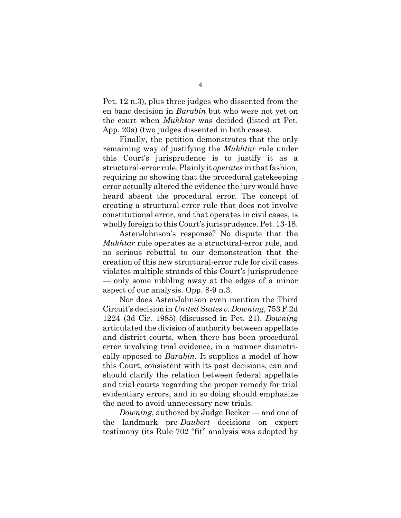Pet. 12 n.3), plus three judges who dissented from the en banc decision in *Barabin* but who were not yet on the court when *Mukhtar* was decided (listed at Pet. App. 20a) (two judges dissented in both cases).

Finally, the petition demonstrates that the only remaining way of justifying the *Mukhtar* rule under this Court's jurisprudence is to justify it as a structural-error rule. Plainly it *operates* in that fashion, requiring no showing that the procedural gatekeeping error actually altered the evidence the jury would have heard absent the procedural error. The concept of creating a structural-error rule that does not involve constitutional error, and that operates in civil cases, is wholly foreign to this Court's jurisprudence. Pet. 13-18.

AstenJohnson's response? No dispute that the *Mukhtar* rule operates as a structural-error rule, and no serious rebuttal to our demonstration that the creation of this new structural-error rule for civil cases violates multiple strands of this Court's jurisprudence — only some nibbling away at the edges of a minor aspect of our analysis. Opp. 8-9 n.3.

Nor does AstenJohnson even mention the Third Circuit's decision in *United States v. Downing*, 753 F.2d 1224 (3d Cir. 1985) (discussed in Pet. 21). *Downing* articulated the division of authority between appellate and district courts, when there has been procedural error involving trial evidence, in a manner diametrically opposed to *Barabin*. It supplies a model of how this Court, consistent with its past decisions, can and should clarify the relation between federal appellate and trial courts regarding the proper remedy for trial evidentiary errors, and in so doing should emphasize the need to avoid unnecessary new trials.

*Downing*, authored by Judge Becker — and one of the landmark pre-*Daubert* decisions on expert testimony (its Rule 702 "fit" analysis was adopted by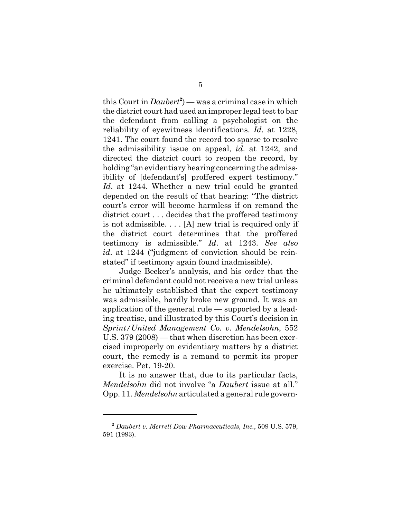this Court in *Daubert***<sup>2</sup>** ) — was a criminal case in which the district court had used an improper legal test to bar the defendant from calling a psychologist on the reliability of eyewitness identifications. *Id*. at 1228, 1241. The court found the record too sparse to resolve the admissibility issue on appeal, *id*. at 1242, and directed the district court to reopen the record, by holding "an evidentiary hearing concerning the admissibility of [defendant's] proffered expert testimony." *Id*. at 1244. Whether a new trial could be granted depended on the result of that hearing: "The district court's error will become harmless if on remand the district court . . . decides that the proffered testimony is not admissible. . . . [A] new trial is required only if the district court determines that the proffered testimony is admissible." *Id*. at 1243. *See also id*. at 1244 ("judgment of conviction should be reinstated" if testimony again found inadmissible).

Judge Becker's analysis, and his order that the criminal defendant could not receive a new trial unless he ultimately established that the expert testimony was admissible, hardly broke new ground. It was an application of the general rule — supported by a leading treatise, and illustrated by this Court's decision in *Sprint/United Management Co. v. Mendelsohn*, 552 U.S. 379 (2008) — that when discretion has been exercised improperly on evidentiary matters by a district court, the remedy is a remand to permit its proper exercise. Pet. 19-20.

It is no answer that, due to its particular facts, *Mendelsohn* did not involve "a *Daubert* issue at all." Opp. 11. *Mendelsohn* articulated a general rule govern-

**<sup>2</sup>** *Daubert v. Merrell Dow Pharmaceuticals, Inc.*, 509 U.S. 579, 591 (1993).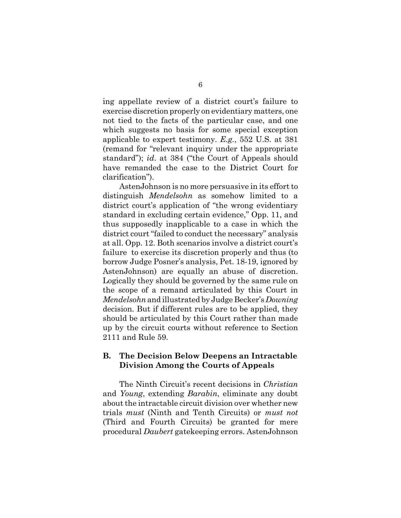ing appellate review of a district court's failure to exercise discretion properly on evidentiary matters, one not tied to the facts of the particular case, and one which suggests no basis for some special exception applicable to expert testimony. *E.g.*, 552 U.S. at 381 (remand for "relevant inquiry under the appropriate standard"); *id*. at 384 ("the Court of Appeals should have remanded the case to the District Court for clarification").

AstenJohnson is no more persuasive in its effort to distinguish *Mendelsohn* as somehow limited to a district court's application of "the wrong evidentiary standard in excluding certain evidence," Opp. 11, and thus supposedly inapplicable to a case in which the district court "failed to conduct the necessary" analysis at all. Opp. 12. Both scenarios involve a district court's failure to exercise its discretion properly and thus (to borrow Judge Posner's analysis, Pet. 18-19, ignored by AstenJohnson) are equally an abuse of discretion. Logically they should be governed by the same rule on the scope of a remand articulated by this Court in *Mendelsohn* and illustrated by Judge Becker's *Downing* decision. But if different rules are to be applied, they should be articulated by this Court rather than made up by the circuit courts without reference to Section 2111 and Rule 59.

#### **B. The Decision Below Deepens an Intractable Division Among the Courts of Appeals**

The Ninth Circuit's recent decisions in *Christian* and *Young*, extending *Barabin*, eliminate any doubt about the intractable circuit division over whether new trials *must* (Ninth and Tenth Circuits) or *must not* (Third and Fourth Circuits) be granted for mere procedural *Daubert* gatekeeping errors. AstenJohnson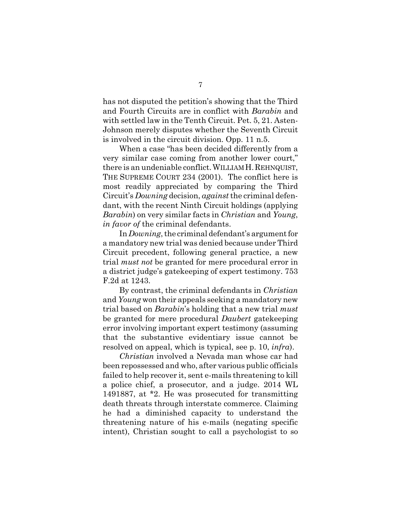has not disputed the petition's showing that the Third and Fourth Circuits are in conflict with *Barabin* and with settled law in the Tenth Circuit. Pet. 5, 21. Asten-Johnson merely disputes whether the Seventh Circuit is involved in the circuit division. Opp. 11 n.5.

When a case "has been decided differently from a very similar case coming from another lower court," there is an undeniable conflict.WILLIAM H.REHNQUIST, THE SUPREME COURT 234 (2001). The conflict here is most readily appreciated by comparing the Third Circuit's *Downing* decision, *against* the criminal defendant, with the recent Ninth Circuit holdings (applying *Barabin*) on very similar facts in *Christian* and *Young*, *in favor of* the criminal defendants.

In *Downing*, the criminal defendant's argument for a mandatory new trial was denied because under Third Circuit precedent, following general practice, a new trial *must not* be granted for mere procedural error in a district judge's gatekeeping of expert testimony. 753 F.2d at 1243.

By contrast, the criminal defendants in *Christian* and *Young* won their appeals seeking a mandatory new trial based on *Barabin*'s holding that a new trial *must* be granted for mere procedural *Daubert* gatekeeping error involving important expert testimony (assuming that the substantive evidentiary issue cannot be resolved on appeal, which is typical, see p. 10, *infra*).

*Christian* involved a Nevada man whose car had been repossessed and who, after various public officials failed to help recover it, sent e-mails threatening to kill a police chief, a prosecutor, and a judge. 2014 WL 1491887, at \*2. He was prosecuted for transmitting death threats through interstate commerce. Claiming he had a diminished capacity to understand the threatening nature of his e-mails (negating specific intent), Christian sought to call a psychologist to so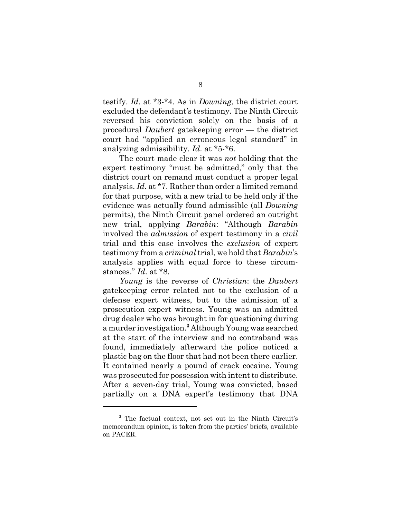testify. *Id*. at \*3-\*4. As in *Downing*, the district court excluded the defendant's testimony. The Ninth Circuit reversed his conviction solely on the basis of a procedural *Daubert* gatekeeping error — the district court had "applied an erroneous legal standard" in analyzing admissibility. *Id*. at \*5-\*6.

The court made clear it was *not* holding that the expert testimony "must be admitted," only that the district court on remand must conduct a proper legal analysis. *Id*. at \*7. Rather than order a limited remand for that purpose, with a new trial to be held only if the evidence was actually found admissible (all *Downing* permits), the Ninth Circuit panel ordered an outright new trial, applying *Barabin*: "Although *Barabin* involved the *admission* of expert testimony in a *civil* trial and this case involves the *exclusion* of expert testimony from a *criminal* trial, we hold that *Barabin*'s analysis applies with equal force to these circumstances." *Id*. at \*8.

*Young* is the reverse of *Christian*: the *Daubert* gatekeeping error related not to the exclusion of a defense expert witness, but to the admission of a prosecution expert witness. Young was an admitted drug dealer who was brought in for questioning during a murder investigation.**<sup>3</sup>** Although Young was searched at the start of the interview and no contraband was found, immediately afterward the police noticed a plastic bag on the floor that had not been there earlier. It contained nearly a pound of crack cocaine. Young was prosecuted for possession with intent to distribute. After a seven-day trial, Young was convicted, based partially on a DNA expert's testimony that DNA

<sup>&</sup>lt;sup>3</sup> The factual context, not set out in the Ninth Circuit's memorandum opinion, is taken from the parties' briefs, available on PACER.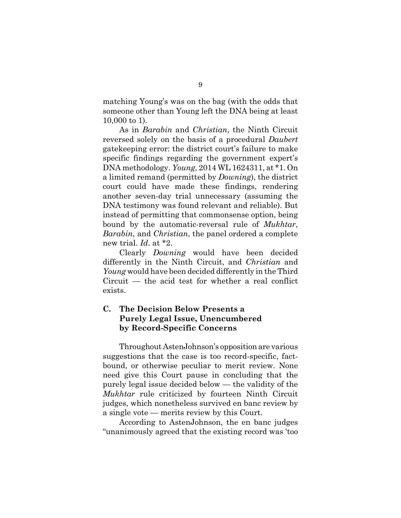matching Young's was on the bag (with the odds that someone other than Young left the DNA being at least 10,000 to 1).

As in *Barabin* and *Christian*, the Ninth Circuit reversed solely on the basis of a procedural *Daubert* gatekeeping error: the district court's failure to make specific findings regarding the government expert's DNA methodology. *Young*, 2014 WL 1624311, at \*1. On a limited remand (permitted by *Downing*), the district court could have made these findings, rendering another seven-day trial unnecessary (assuming the DNA testimony was found relevant and reliable). But instead of permitting that commonsense option, being bound by the automatic-reversal rule of *Mukhtar*, *Barabin*, and *Christian*, the panel ordered a complete new trial. *Id*. at \*2.

Clearly *Downing* would have been decided differently in the Ninth Circuit, and *Christian* and *Young* would have been decided differently in the Third Circuit — the acid test for whether a real conflict exists.

## **C. The Decision Below Presents a Purely Legal Issue, Unencumbered by Record-Specific Concerns**

Throughout AstenJohnson's opposition are various suggestions that the case is too record-specific, factbound, or otherwise peculiar to merit review. None need give this Court pause in concluding that the purely legal issue decided below — the validity of the *Mukhtar* rule criticized by fourteen Ninth Circuit judges, which nonetheless survived en banc review by a single vote — merits review by this Court.

According to AstenJohnson, the en banc judges "unanimously agreed that the existing record was 'too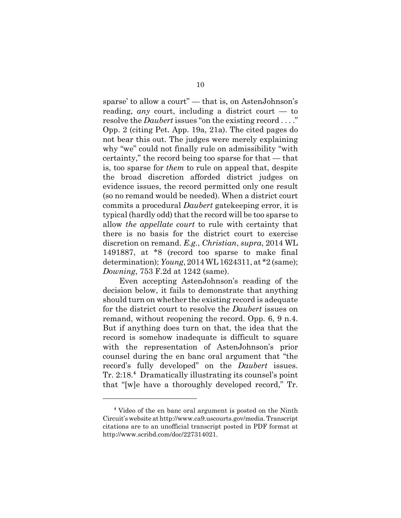sparse' to allow a court" — that is, on AstenJohnson's reading, *any* court, including a district court — to resolve the *Daubert* issues "on the existing record . . . ." Opp. 2 (citing Pet. App. 19a, 21a). The cited pages do not bear this out. The judges were merely explaining why "we" could not finally rule on admissibility "with certainty," the record being too sparse for that — that is, too sparse for *them* to rule on appeal that, despite the broad discretion afforded district judges on evidence issues, the record permitted only one result (so no remand would be needed). When a district court commits a procedural *Daubert* gatekeeping error, it is typical (hardly odd) that the record will be too sparse to allow *the appellate court* to rule with certainty that there is no basis for the district court to exercise discretion on remand. *E.g.*, *Christian*, *supra*, 2014 WL 1491887, at \*8 (record too sparse to make final determination); *Young*, 2014 WL 1624311, at \*2 (same); *Downing*, 753 F.2d at 1242 (same).

Even accepting AstenJohnson's reading of the decision below, it fails to demonstrate that anything should turn on whether the existing record is adequate for the district court to resolve the *Daubert* issues on remand, without reopening the record. Opp. 6, 9 n.4. But if anything does turn on that, the idea that the record is somehow inadequate is difficult to square with the representation of AstenJohnson's prior counsel during the en banc oral argument that "the record's fully developed" on the *Daubert* issues. Tr. 2:18.**<sup>4</sup>** Dramatically illustrating its counsel's point that "[w]e have a thoroughly developed record," Tr.

**<sup>4</sup>** Video of the en banc oral argument is posted on the Ninth Circuit's website at http://www.ca9.uscourts.gov/media. Transcript citations are to an unofficial transcript posted in PDF format at http://www.scribd.com/doc/227314021.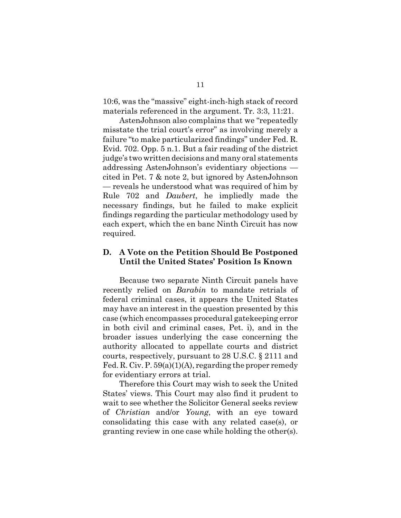10:6, was the "massive" eight-inch-high stack of record materials referenced in the argument. Tr. 3:3, 11:21.

AstenJohnson also complains that we "repeatedly misstate the trial court's error" as involving merely a failure "to make particularized findings" under Fed. R. Evid. 702. Opp. 5 n.1. But a fair reading of the district judge's two written decisions and many oral statements addressing AstenJohnson's evidentiary objections cited in Pet. 7 & note 2, but ignored by AstenJohnson — reveals he understood what was required of him by Rule 702 and *Daubert*, he impliedly made the necessary findings, but he failed to make explicit findings regarding the particular methodology used by each expert, which the en banc Ninth Circuit has now required.

#### **D. A Vote on the Petition Should Be Postponed Until the United States' Position Is Known**

Because two separate Ninth Circuit panels have recently relied on *Barabin* to mandate retrials of federal criminal cases, it appears the United States may have an interest in the question presented by this case (which encompasses procedural gatekeeping error in both civil and criminal cases, Pet. i), and in the broader issues underlying the case concerning the authority allocated to appellate courts and district courts, respectively, pursuant to 28 U.S.C. § 2111 and Fed. R. Civ. P. 59(a)(1)(A), regarding the proper remedy for evidentiary errors at trial.

Therefore this Court may wish to seek the United States' views. This Court may also find it prudent to wait to see whether the Solicitor General seeks review of *Christian* and/or *Young*, with an eye toward consolidating this case with any related case(s), or granting review in one case while holding the other(s).